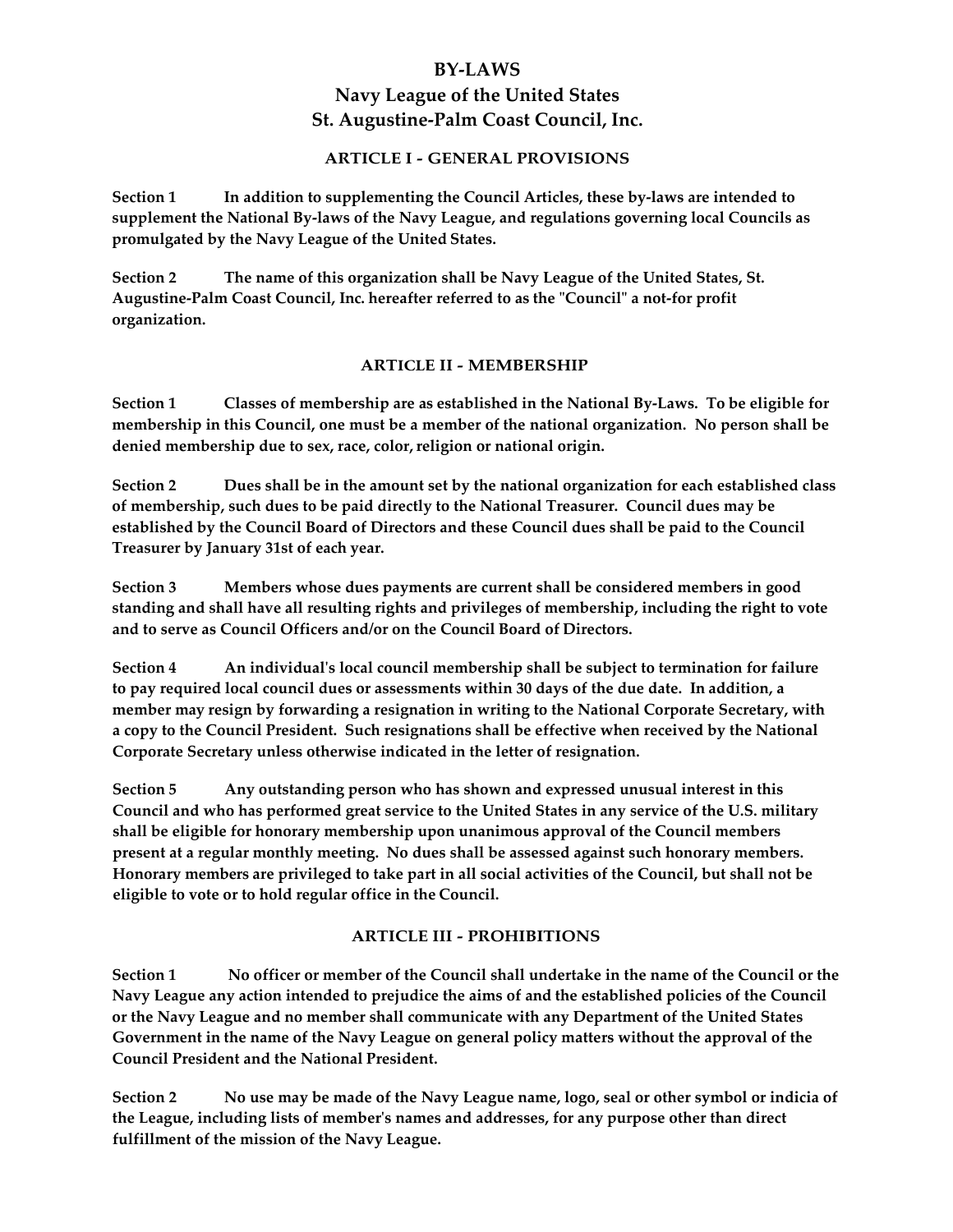# **BY‐LAWS Navy League of the United States St. Augustine‐Palm Coast Council, Inc.**

## **ARTICLE I ‐ GENERAL PROVISIONS**

**Section 1 In addition to supplementing the Council Articles, these by‐laws are intended to supplement the National By‐laws of the Navy League, and regulations governing local Councils as promulgated by the Navy League of the United States.**

**Section 2 The name of this organization shall be Navy League of the United States, St. Augustine‐Palm Coast Council, Inc. hereafter referred to as the ʺCouncilʺ a not‐for profit organization.**

#### **ARTICLE II ‐ MEMBERSHIP**

Section 1 Classes of membership are as established in the National By-Laws. To be eligible for **membership in this Council, one must be a member of the national organization. No person shall be denied membership due to sex, race, color,religion or national origin.**

**Section 2 Dues shall be in the amount set by the national organization for each established class of membership, such dues to be paid directly to the National Treasurer. Council dues may be established by the Council Board of Directors and these Council dues shall be paid to the Council Treasurer by January 31st of each year.**

**Section 3 Members whose dues payments are current shall be considered members in good standing and shall have all resulting rights and privileges of membership, including the right to vote and to serve as Council Officers and/or on the Council Board of Directors.**

**Section 4 An individualʹs local council membership shall be subject to termination for failure** to pay required local council dues or assessments within 30 days of the due date. In addition, a **member may resign by forwarding a resignation in writing to the National Corporate Secretary, with a copy to the Council President. Such resignations shall be effective when received by the National Corporate Secretary unless otherwise indicated in the letter of resignation.**

**Section 5 Any outstanding person who has shown and expressed unusual interest in this** Council and who has performed great service to the United States in any service of the U.S. military **shall be eligible for honorary membership upon unanimous approval of the Council members present at a regular monthly meeting. No dues shall be assessed against such honorary members.**  Honorary members are privileged to take part in all social activities of the Council, but shall not be **eligible to vote or to hold regular office in the Council.**

## **ARTICLE III ‐ PROHIBITIONS**

Section 1 No officer or member of the Council shall undertake in the name of the Council or the **Navy League any action intended to prejudice the aims of and the established policies of the Council or the Navy League and no member shall communicate with any Department of the United States Government in the name of the Navy League on general policy matters without the approval of the Council President and the National President.**

Section 2 No use may be made of the Navy League name, logo, seal or other symbol or indicia of **the League, including lists of memberʹs names and addresses, for any purpose other than direct fulfillment of the mission of the Navy League.**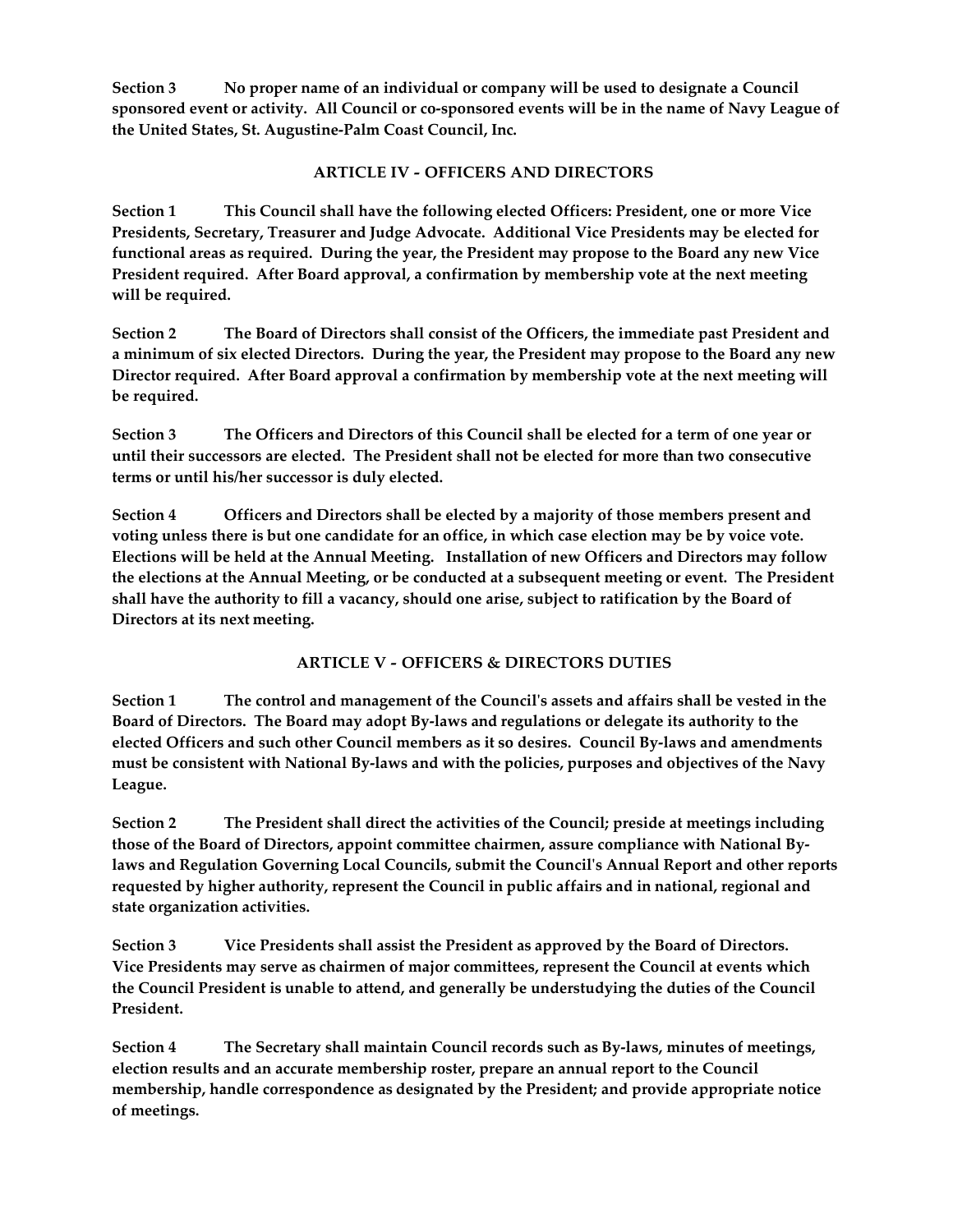**Section 3 No proper name of an individual or company will be used to designate a Council** sponsored event or activity. All Council or co-sponsored events will be in the name of Navy League of **the United States, St. Augustine‐Palm Coast Council, Inc.**

# **ARTICLE IV ‐ OFFICERS AND DIRECTORS**

**Section 1 This Council shall have the following elected Officers: President, one or more Vice Presidents, Secretary, Treasurer and Judge Advocate. Additional Vice Presidents may be elected for** functional areas as required. During the year, the President may propose to the Board any new Vice **President required. After Board approval, a confirmation by membership vote at the next meeting will be required.**

**Section 2 The Board of Directors shall consist of the Officers, the immediate past President and** a minimum of six elected Directors. During the year, the President may propose to the Board any new **Director required. After Board approval a confirmation by membership vote at the next meeting will be required.**

Section 3 The Officers and Directors of this Council shall be elected for a term of one year or **until their successors are elected. The President shall not be elected for more than two consecutive terms or until his/her successor is duly elected.**

**Section 4 Officers and Directors shall be elected by a majority of those members present and** voting unless there is but one candidate for an office, in which case election may be by voice vote. **Elections will be held at the Annual Meeting. Installation of new Officers and Directors may follow** the elections at the Annual Meeting, or be conducted at a subsequent meeting or event. The President shall have the authority to fill a vacancy, should one arise, subject to ratification by the Board of **Directors at its next meeting.**

# **ARTICLE V ‐ OFFICERS & DIRECTORS DUTIES**

Section 1 The control and management of the Council's assets and affairs shall be vested in the Board of Directors. The Board may adopt By-laws and regulations or delegate its authority to the **elected Officers and such other Council members as it so desires. Council By‐laws and amendments** must be consistent with National By-laws and with the policies, purposes and objectives of the Navy **League.**

**Section 2 The President shall direct the activities of the Council; preside at meetings including those of the Board of Directors, appoint committee chairmen, assure compliance with National By‐ laws and Regulation Governing Local Councils, submit the Councilʹs Annual Report and other reports requested by higher authority, represent the Council in public affairs and in national, regional and state organization activities.**

**Section 3 Vice Presidents shall assist the President as approved by the Board of Directors. Vice Presidents may serve as chairmen of major committees, represent the Council at events which the Council President is unable to attend, and generally be understudying the duties of the Council President.**

**Section 4 The Secretary shall maintain Council records such as By‐laws, minutes of meetings, election results and an accurate membership roster, prepare an annual report to the Council membership, handle correspondence as designated by the President; and provide appropriate notice of meetings.**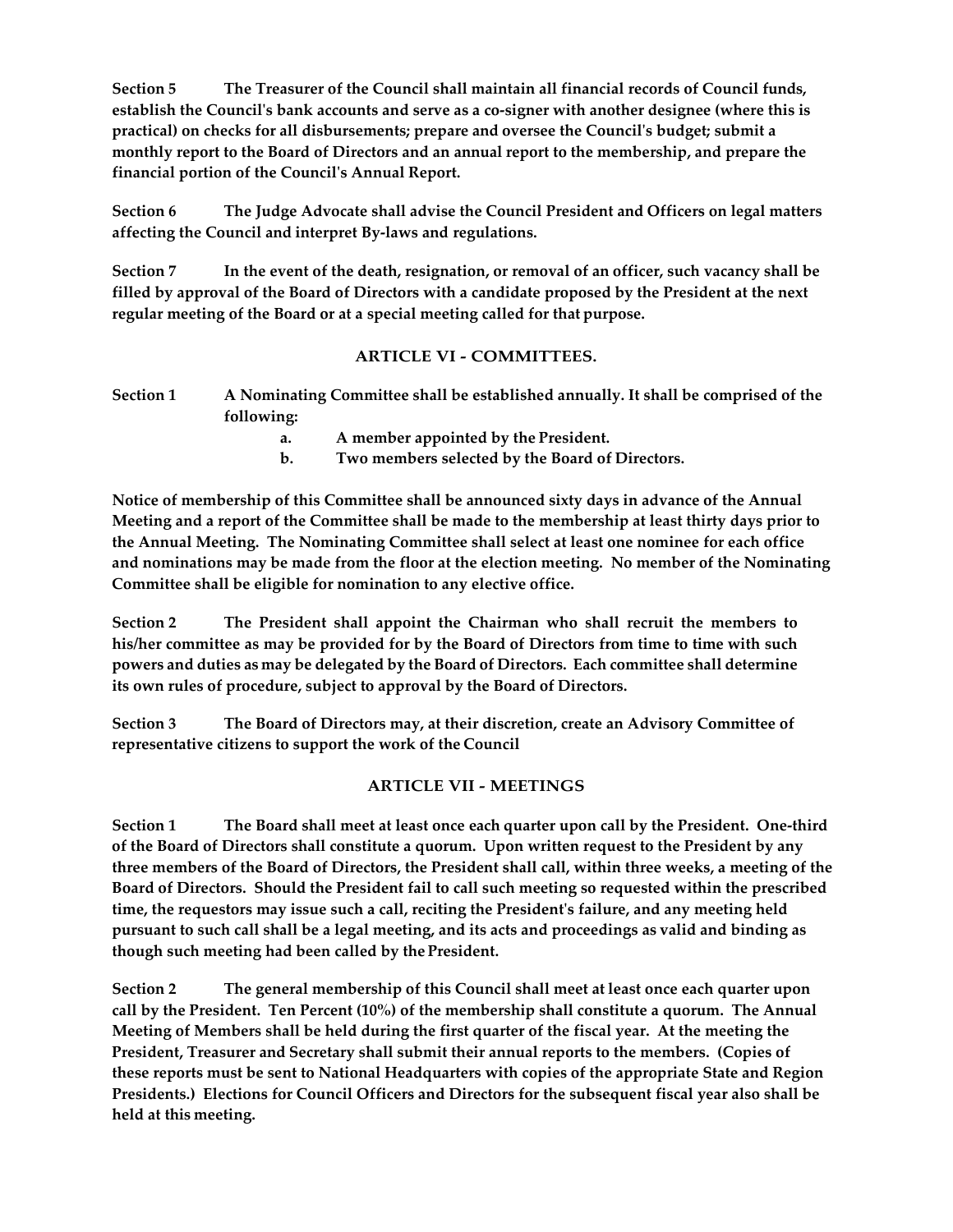**Section 5 The Treasurer of the Council shall maintain all financial records of Council funds,** establish the Council's bank accounts and serve as a co-signer with another designee (where this is **practical) on checks for all disbursements; prepare and oversee the Councilʹs budget; submit a monthly report to the Board of Directors and an annual report to the membership, and prepare the financial portion of the Councilʹs Annual Report.**

**Section 6 The Judge Advocate shall advise the Council President and Officers on legal matters affecting the Council and interpret By‐laws and regulations.**

**Section 7 In the event of the death, resignation, or removal of an officer, such vacancy shall be** filled by approval of the Board of Directors with a candidate proposed by the President at the next **regular meeting of the Board or at a special meeting called for that purpose.**

## **ARTICLE VI ‐ COMMITTEES.**

**Section 1 A Nominating Committee shall be established annually. It shall be comprised of the following:**

**a. A member appointed by the President.**

**b. Two members selected by the Board of Directors.**

**Notice of membership of this Committee shall be announced sixty days in advance of the Annual** Meeting and a report of the Committee shall be made to the membership at least thirty days prior to **the Annual Meeting. The Nominating Committee shall select at least one nominee for each office and nominations may be made from the floor at the election meeting. No member of the Nominating Committee shall be eligible for nomination to any elective office.**

**Section 2 The President shall appoint the Chairman who shall recruit the members to his/her committee as may be provided for by the Board of Directors from time to time with such powers and duties as may be delegated by the Board of Directors. Each committee shall determine its own rules of procedure, subject to approval by the Board of Directors.**

**Section 3 The Board of Directors may, at their discretion, create an Advisory Committee of representative citizens to support the work of the Council**

#### **ARTICLE VII ‐ MEETINGS**

Section 1 The Board shall meet at least once each quarter upon call by the President. One-third **of the Board of Directors shall constitute a quorum. Upon written request to the President by any** three members of the Board of Directors, the President shall call, within three weeks, a meeting of the **Board of Directors. Should the President fail to call such meeting so requested within the prescribed time, the requestors may issue such a call, reciting the Presidentʹs failure, and any meeting held** pursuant to such call shall be a legal meeting, and its acts and proceedings as valid and binding as **though such meeting had been called by the President.**

**Section 2 The general membership of this Council shall meet at least once each quarter upon call by the President. Ten Percent (10%) of the membership shall constitute a quorum. The Annual** Meeting of Members shall be held during the first quarter of the fiscal year. At the meeting the **President, Treasurer and Secretary shall submit their annual reports to the members. (Copies of these reports must be sent to National Headquarters with copies of the appropriate State and Region Presidents.) Elections for Council Officers and Directors for the subsequent fiscal year also shall be held at this meeting.**